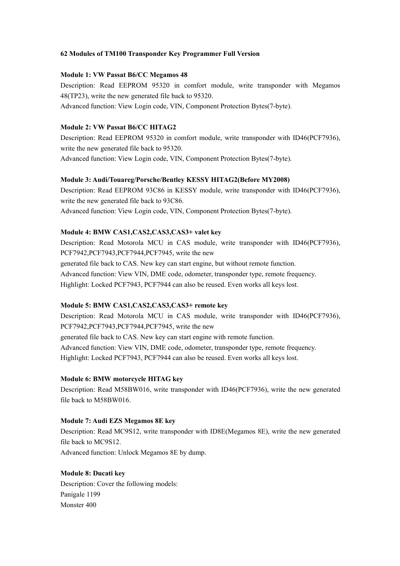# **62 Modules ofTM100 Transponder Key Programmer Full Version**

### **Module 1: VW Passat B6/CC Megamos 48**

Description: Read EEPROM 95320 in comfort module, write transponder with Megamos 48(TP23), write the new generated file back to 95320. Advanced function: View Login code, VIN, Component Protection Bytes(7-byte).

# **Module 2: VW Passat B6/CC HITAG2**

Description: Read EEPROM 95320 in comfort module, write transponder with ID46(PCF7936), write the new generated file back to 95320. Advanced function: View Login code, VIN, Component Protection Bytes(7-byte).

## **Module 3: Audi/Touareg/Porsche/Bentley KESSY HITAG2(Before MY2008)**

Description: Read EEPROM 93C86 in KESSY module, write transponder with ID46(PCF7936), write the new generated file back to 93C86. Advanced function: View Login code, VIN, Component Protection Bytes(7-byte).

# **Module 4: BMW CAS1,CAS2,CAS3,CAS3+ valet key**

Description: Read Motorola MCU in CAS module, write transponder with ID46(PCF7936), PCF7942,PCF7943,PCF7944,PCF7945, write the new generated file back to CAS. New key can start engine, but without remote function. Advanced function: View VIN, DME code, odometer, transponder type, remote frequency. Highlight: Locked PCF7943, PCF7944 can also be reused. Even works all keys lost.

# **Module 5: BMW CAS1,CAS2,CAS3,CAS3+ remote key**

Description: Read Motorola MCU in CAS module, write transponder with ID46(PCF7936), PCF7942,PCF7943,PCF7944,PCF7945, write the new generated file back to CAS. New key can start engine with remote function. Advanced function: View VIN, DME code, odometer, transponder type, remote frequency. Highlight: Locked PCF7943, PCF7944 can also be reused. Even works all keys lost.

## **Module 6: BMW motorcycle HITAG key**

Description: Read M58BW016, write transponder with ID46(PCF7936), write the new generated file back to M58BW016.

## **Module 7: Audi EZS Megamos 8E key**

Description: Read MC9S12, write transponder with ID8E(Megamos 8E), write the new generated file back to MC9S12.

Advanced function: Unlock Megamos 8E by dump.

# **Module 8: Ducati key**

Description: Cover the following models: Panigale 1199 Monster 400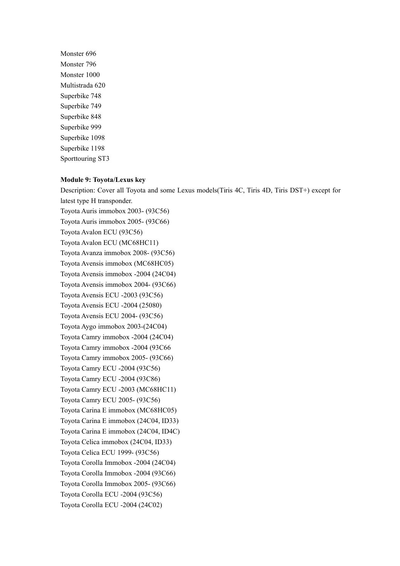Monster 696 Monster 796 Monster 1000 Multistrada 620 Superbike 748 Superbike 749 Superbike 848 Superbike 999 Superbike 1098 Superbike 1198 Sporttouring ST3

### **Module 9: Toyota/Lexus key**

Description: Cover all Toyota and some Lexus models(Tiris 4C, Tiris 4D, Tiris DST+) except for latest type H transponder. Toyota Auris immobox 2003- (93C56) Toyota Auris immobox 2005- (93C66) Toyota Avalon ECU (93C56) Toyota Avalon ECU (MC68HC11) Toyota Avanza immobox 2008- (93C56) Toyota Avensis immobox (MC68HC05) Toyota Avensis immobox -2004 (24C04) Toyota Avensis immobox 2004- (93C66) Toyota Avensis ECU -2003 (93C56) Toyota Avensis ECU -2004 (25080) Toyota Avensis ECU 2004- (93C56) Toyota Aygo immobox 2003-(24C04) Toyota Camry immobox -2004 (24C04) Toyota Camry immobox -2004 (93C66 Toyota Camry immobox 2005- (93C66) Toyota Camry ECU -2004 (93C56) Toyota Camry ECU -2004 (93C86) Toyota Camry ECU -2003 (MC68HC11) Toyota Camry ECU 2005- (93C56) Toyota Carina E immobox (MC68HC05) Toyota Carina E immobox (24C04, ID33) Toyota Carina E immobox (24C04, ID4C) Toyota Celica immobox (24C04, ID33) Toyota Celica ECU 1999- (93C56) Toyota Corolla Immobox -2004 (24C04) Toyota Corolla Immobox -2004 (93C66) Toyota Corolla Immobox 2005- (93C66) Toyota Corolla ECU -2004 (93C56) Toyota Corolla ECU -2004 (24C02)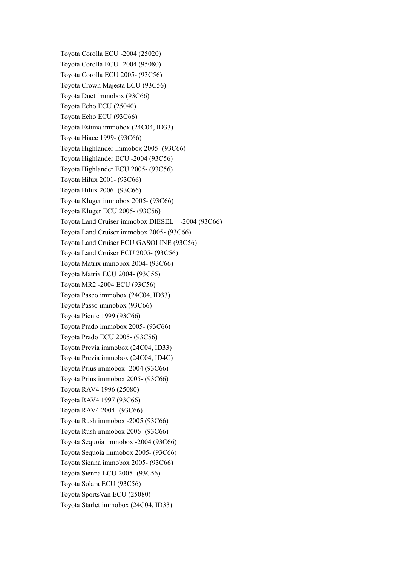Toyota Corolla ECU -2004 (25020) Toyota Corolla ECU -2004 (95080) Toyota Corolla ECU 2005- (93C56) Toyota Crown Majesta ECU (93C56) Toyota Duet immobox (93C66) Toyota Echo ECU (25040) Toyota Echo ECU (93C66) Toyota Estima immobox (24C04, ID33) Toyota Hiace 1999- (93C66) Toyota Highlander immobox 2005- (93C66) Toyota Highlander ECU -2004 (93C56) Toyota Highlander ECU 2005- (93C56) Toyota Hilux 2001- (93C66) Toyota Hilux 2006- (93C66) Toyota Kluger immobox 2005- (93C66) Toyota Kluger ECU 2005- (93C56) Toyota Land Cruiser immobox DIESEL -2004 (93C66) Toyota Land Cruiser immobox 2005- (93C66) Toyota Land Cruiser ECU GASOLINE (93C56) Toyota Land Cruiser ECU 2005- (93C56) Toyota Matrix immobox 2004- (93C66) Toyota Matrix ECU 2004- (93C56) Toyota MR2 -2004 ECU (93C56) Toyota Paseo immobox (24C04, ID33) Toyota Passo immobox (93C66) Toyota Picnic 1999 (93C66) Toyota Prado immobox 2005- (93C66) Toyota Prado ECU 2005- (93C56) Toyota Previa immobox (24C04, ID33) Toyota Previa immobox (24C04, ID4C) Toyota Prius immobox -2004 (93C66) Toyota Prius immobox 2005- (93C66) Toyota RAV4 1996 (25080) Toyota RAV4 1997 (93C66) Toyota RAV4 2004- (93C66) Toyota Rush immobox -2005 (93C66) Toyota Rush immobox 2006- (93C66) Toyota Sequoia immobox -2004 (93C66) Toyota Sequoia immobox 2005- (93C66) Toyota Sienna immobox 2005- (93C66) Toyota Sienna ECU 2005- (93C56) Toyota Solara ECU (93C56) Toyota SportsVan ECU (25080) Toyota Starlet immobox (24C04, ID33)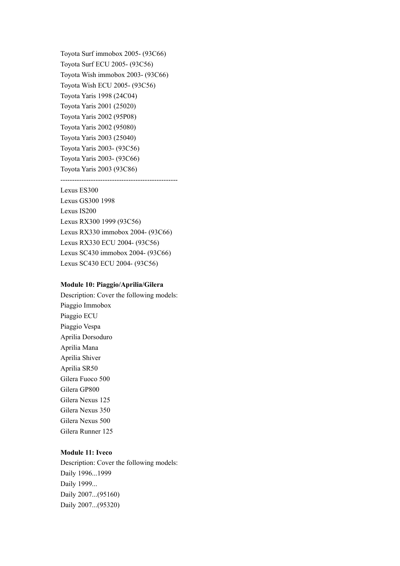Toyota Surf immobox 2005- (93C66) Toyota Surf ECU 2005- (93C56) Toyota Wish immobox 2003- (93C66) Toyota Wish ECU 2005- (93C56) Toyota Yaris 1998 (24C04) Toyota Yaris 2001 (25020) Toyota Yaris 2002 (95P08) Toyota Yaris 2002 (95080) Toyota Yaris 2003 (25040) Toyota Yaris 2003- (93C56) Toyota Yaris 2003- (93C66) Toyota Yaris 2003 (93C86)

--------------------------------------------------

### Lexus ES300

Lexus GS300 1998 Lexus IS200 Lexus RX300 1999 (93C56) Lexus RX330 immobox 2004- (93C66) Lexus RX330 ECU 2004- (93C56) Lexus SC430 immobox 2004- (93C66) Lexus SC430 ECU 2004- (93C56)

#### **Module 10: Piaggio/Aprilia/Gilera**

Description: Cover the following models: Piaggio Immobox Piaggio ECU Piaggio Vespa Aprilia Dorsoduro Aprilia Mana Aprilia Shiver Aprilia SR50 Gilera Fuoco 500 Gilera GP800 Gilera Nexus 125 Gilera Nexus 350 Gilera Nexus 500 Gilera Runner 125

# **Module 11: Iveco**

Description: Cover the following models: Daily 1996...1999 Daily 1999... Daily 2007...(95160) Daily 2007...(95320)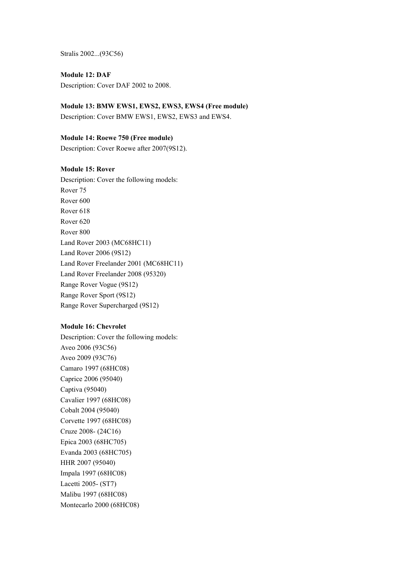Stralis 2002...(93C56)

**Module 12: DAF** Description: Cover DAF 2002 to 2008.

**Module 13: BMW EWS1, EWS2, EWS3, EWS4 (Free module)**

Description: Cover BMW EWS1, EWS2, EWS3 and EWS4.

**Module 14: Roewe 750 (Free module)**

Description: Cover Roewe after 2007(9S12).

# **Module 15: Rover**

Description: Cover the following models: Rover 75 Rover 600 Rover 618 Rover 620 Rover 800 Land Rover 2003 (MC68HC11) Land Rover 2006 (9S12) Land Rover Freelander 2001 (MC68HC11) Land Rover Freelander 2008 (95320) Range Rover Vogue (9S12) Range Rover Sport (9S12) Range Rover Supercharged (9S12)

## **Module 16: Chevrolet**

Description: Cover the following models: Aveo 2006 (93C56) Aveo 2009 (93C76) Camaro 1997 (68HC08) Caprice 2006 (95040) Captiva (95040) Cavalier 1997 (68HC08) Cobalt 2004 (95040) Corvette 1997 (68HC08) Cruze 2008- (24C16) Epica 2003 (68HC705) Evanda 2003 (68HC705) HHR 2007 (95040) Impala 1997 (68HC08) Lacetti 2005- (ST7) Malibu 1997 (68HC08) Montecarlo 2000 (68HC08)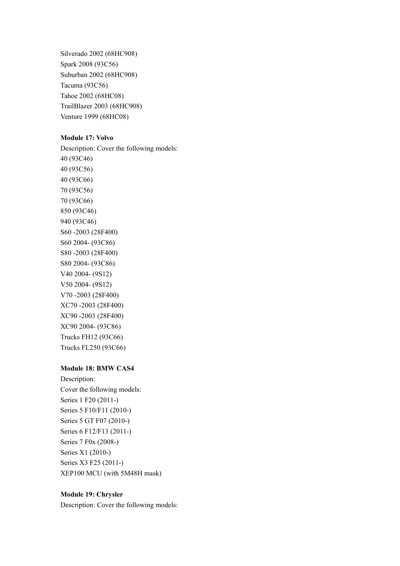Silverado 2002 (68HC908) Spark 2008 (93C56) Suburban 2002 (68HC908) Tacuma (93C56) Tahoe 2002 (68HC08) TrailBlazer 2003 (68HC908) Venture 1999 (68HC08)

### **Module 17: Volvo**

Description: Cover the following models: 40 (93C46) 40 (93C56) 40 (93C66) 70 (93C56) 70 (93C66) 850 (93C46) 940 (93C46) S60 -2003 (28F400) S60 2004- (93C86) S80 -2003 (28F400) S80 2004- (93C86) V40 2004- (9S12) V50 2004- (9S12) V70 -2003 (28F400) XC70 -2003 (28F400) XC90 -2003 (28F400) XC90 2004- (93C86) Trucks FH12 (93C66) Trucks FL250 (93C66)

### **Module 18: BMW CAS4**

Description: Cover the following models: Series 1 F20 (2011-) Series 5 F10/F11 (2010-) Series 5 GT F07 (2010-) Series 6 F12/F13 (2011-) Series 7 F0x (2008-) Series X1 (2010-) Series X3 F25 (2011-) XEP100 MCU (with 5M48H mask)

## **Module 19: Chrysler**

Description: Cover the following models: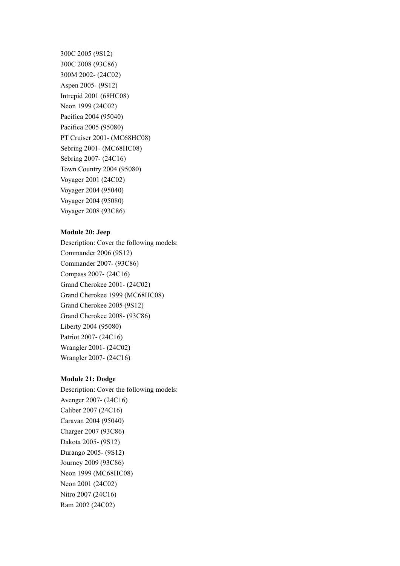300C 2005 (9S12) 300C 2008 (93C86) 300M 2002- (24C02) Aspen 2005- (9S12) Intrepid 2001 (68HC08) Neon 1999 (24C02) Pacifica 2004 (95040) Pacifica 2005 (95080) PT Cruiser 2001- (MC68HC08) Sebring 2001- (MC68HC08) Sebring 2007- (24C16) Town Country 2004 (95080) Voyager 2001 (24C02) Voyager 2004 (95040) Voyager 2004 (95080) Voyager 2008 (93C86)

### **Module 20: Jeep**

Description: Cover the following models: Commander 2006 (9S12) Commander 2007- (93C86) Compass 2007- (24C16) Grand Cherokee 2001- (24C02) Grand Cherokee 1999 (MC68HC08) Grand Cherokee 2005 (9S12) Grand Cherokee 2008- (93C86) Liberty 2004 (95080) Patriot 2007- (24C16) Wrangler 2001- (24C02) Wrangler 2007- (24C16)

## **Module 21: Dodge**

Description: Cover the following models: Avenger 2007- (24C16) Caliber 2007 (24C16) Caravan 2004 (95040) Charger 2007 (93C86) Dakota 2005- (9S12) Durango 2005- (9S12) Journey 2009 (93C86) Neon 1999 (MC68HC08) Neon 2001 (24C02) Nitro 2007 (24C16) Ram 2002 (24C02)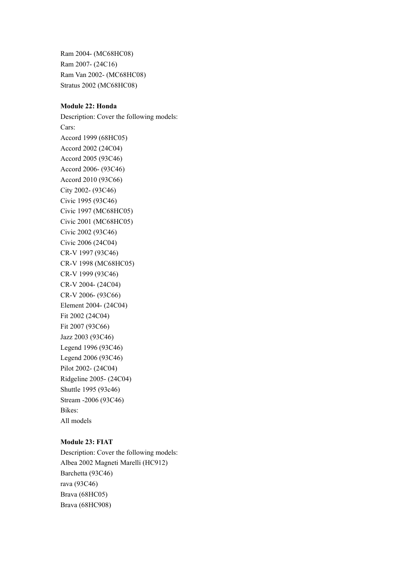Ram 2004- (MC68HC08) Ram 2007- (24C16) Ram Van 2002- (MC68HC08) Stratus 2002 (MC68HC08)

# **Module 22: Honda**

Description: Cover the following models: Cars: Accord 1999 (68HC05) Accord 2002 (24C04) Accord 2005 (93C46) Accord 2006- (93C46) Accord 2010 (93C66) City 2002- (93C46) Civic 1995 (93C46) Civic 1997 (MC68HC05) Civic 2001 (MC68HC05) Civic 2002 (93C46) Civic 2006 (24C04) CR-V 1997 (93C46) CR-V 1998 (MC68HC05) CR-V 1999 (93C46) CR-V 2004- (24C04) CR-V 2006- (93C66) Element 2004- (24C04) Fit 2002 (24C04) Fit 2007 (93C66) Jazz 2003 (93C46) Legend 1996 (93C46) Legend 2006 (93C46) Pilot 2002- (24C04) Ridgeline 2005- (24C04) Shuttle 1995 (93c46) Stream -2006 (93C46) Bikes: All models

## **Module 23: FIAT**

Description: Cover the following models: Albea 2002 Magneti Marelli (HC912) Barchetta (93C46) rava (93C46) Brava (68HC05) Brava (68HC908)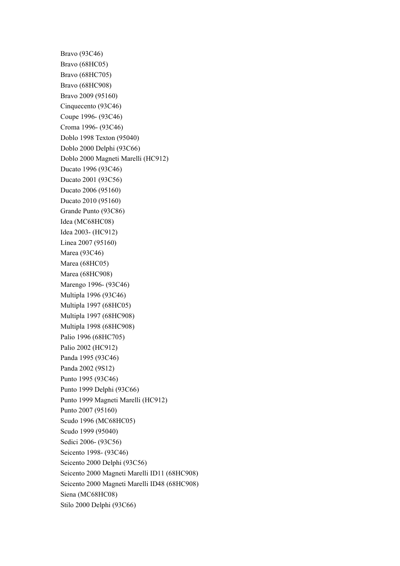Bravo (93C46) Bravo (68HC05) Bravo (68HC705) Bravo (68HC908) Bravo 2009 (95160) Cinquecento (93C46) Coupe 1996- (93C46) Croma 1996- (93C46) Doblo 1998 Texton (95040) Doblo 2000 Delphi (93C66) Doblo 2000 Magneti Marelli (HC912) Ducato 1996 (93C46) Ducato 2001 (93C56) Ducato 2006 (95160) Ducato 2010 (95160) Grande Punto (93C86) Idea (MC68HC08) Idea 2003- (HC912) Linea 2007 (95160) Marea (93C46) Marea (68HC05) Marea (68HC908) Marengo 1996- (93C46) Multipla 1996 (93C46) Multipla 1997 (68HC05) Multipla 1997 (68HC908) Multipla 1998 (68HC908) Palio 1996 (68HC705) Palio 2002 (HC912) Panda 1995 (93C46) Panda 2002 (9S12) Punto 1995 (93C46) Punto 1999 Delphi (93C66) Punto 1999 Magneti Marelli (HC912) Punto 2007 (95160) Scudo 1996 (MC68HC05) Scudo 1999 (95040) Sedici 2006- (93C56) Seicento 1998- (93C46) Seicento 2000 Delphi (93C56) Seicento 2000 Magneti Marelli ID11 (68HC908) Seicento 2000 Magneti Marelli ID48 (68HC908) Siena (MC68HC08) Stilo 2000 Delphi (93C66)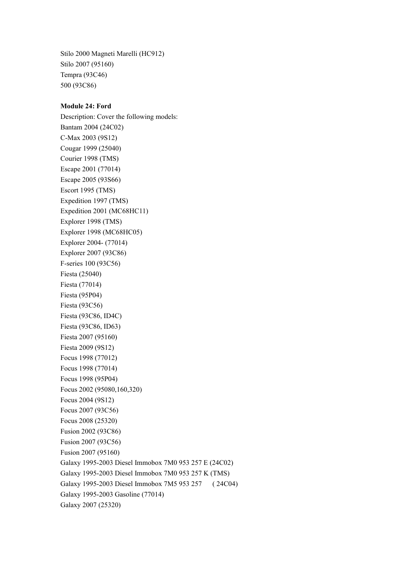Stilo 2000 Magneti Marelli (HC912) Stilo 2007 (95160) Tempra (93C46) 500 (93C86)

# **Module 24: Ford**

Description: Cover the following models: Bantam 2004 (24C02) C-Max 2003 (9S12) Cougar 1999 (25040) Courier 1998 (TMS) Escape 2001 (77014) Escape 2005 (93S66) Escort 1995 (TMS) Expedition 1997 (TMS) Expedition 2001 (MC68HC11) Explorer 1998 (TMS) Explorer 1998 (MC68HC05) Explorer 2004- (77014) Explorer 2007 (93C86) F-series 100 (93C56) Fiesta (25040) Fiesta (77014) Fiesta (95P04) Fiesta (93C56) Fiesta (93C86, ID4C) Fiesta (93C86, ID63) Fiesta 2007 (95160) Fiesta 2009 (9S12) Focus 1998 (77012) Focus 1998 (77014) Focus 1998 (95P04) Focus 2002 (95080,160,320) Focus 2004 (9S12) Focus 2007 (93C56) Focus 2008 (25320) Fusion 2002 (93C86) Fusion 2007 (93C56) Fusion 2007 (95160) Galaxy 1995-2003 Diesel Immobox 7M0 953 257 E (24C02) Galaxy 1995-2003 Diesel Immobox 7M0 953 257 K (TMS) Galaxy 1995-2003 Diesel Immobox 7M5 953 257 ( 24C04) Galaxy 1995-2003 Gasoline (77014) Galaxy 2007 (25320)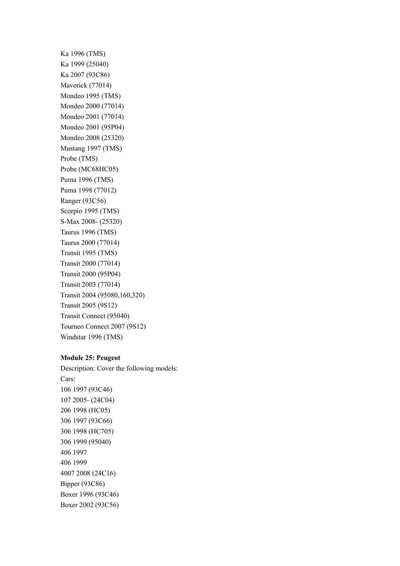Ka 1996 (TMS) Ka 1999 (25040) Ka 2007 (93C86) Maverick (77014) Mondeo 1995 (TMS) Mondeo 2000 (77014) Mondeo 2001 (77014) Mondeo 2001 (95P04) Mondeo 2008 (25320) Mustang 1997 (TMS) Probe (TMS) Probe (MC68HC05) Puma 1996 (TMS) Puma 1998 (77012) Ranger (93C56) Scorpio 1995 (TMS) S-Max 2008- (25320) Taurus 1996 (TMS) Taurus 2000 (77014) Transit 1995 (TMS) Transit 2000 (77014) Transit 2000 (95P04) Transit 2003 (77014) Transit 2004 (95080,160,320) Transit 2005 (9S12) Transit Connect (95040) Tourneo Connect 2007 (9S12) Windstar 1996 (TMS)

### **Module 25: Peugeot**

Boxer 2002 (93C56)

Description: Cover the following models: Cars: 106 1997 (93C46) 107 2005- (24C04) 206 1998 (HC05) 306 1997 (93C66) 306 1998 (HC705) 306 1999 (95040) 406 1997 406 1999 4007 2008 (24C16) Bipper (93C86) Boxer 1996 (93C46)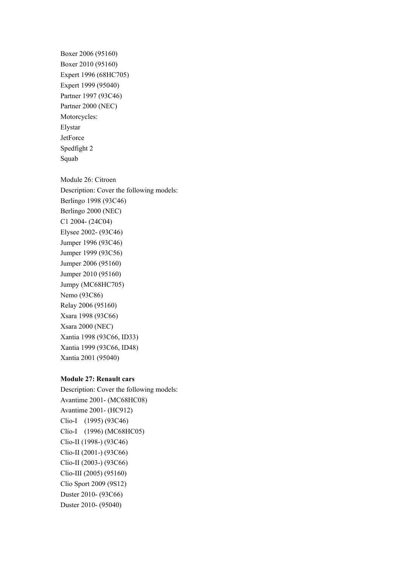Partner 1997 (93C46) Partner 2000 (NEC) Motorcycles: Elystar **JetForce** Spedfight 2 Squab Module 26: Citroen Description: Cover the following models: Berlingo 1998 (93C46) Berlingo 2000 (NEC) C1 2004- (24C04) Elysee 2002- (93C46) Jumper 1996 (93C46) Jumper 1999 (93C56) Jumper 2006 (95160) Jumper 2010 (95160) Jumpy (MC68HC705) Nemo (93C86) Relay 2006 (95160) Xsara 1998 (93C66) Xsara 2000 (NEC) Xantia 1998 (93C66, ID33) Xantia 1999 (93C66, ID48) Xantia 2001 (95040)

Boxer 2006 (95160) Boxer 2010 (95160) Expert 1996 (68HC705) Expert 1999 (95040)

## **Module 27: Renault cars**

Description: Cover the following models: Avantime 2001- (MC68HC08) Avantime 2001- (HC912) Clio-I (1995) (93C46) Clio-I (1996) (MC68HC05) Clio-II (1998-) (93C46) Clio-II (2001-) (93C66) Clio-II (2003-) (93C66) Clio-III (2005) (95160) Clio Sport 2009 (9S12) Duster 2010- (93C66) Duster 2010- (95040)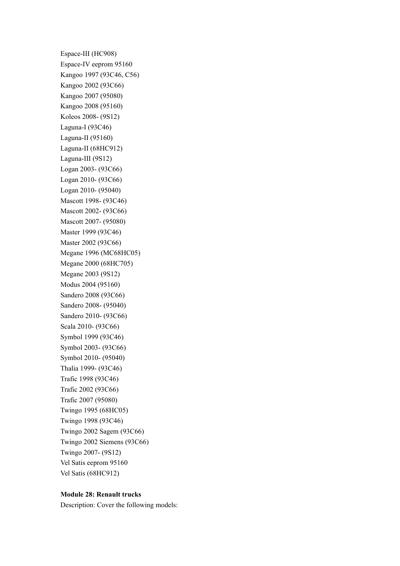Espace-III (HC908) Espace-IV eeprom 95160 Kangoo 1997 (93C46, C56) Kangoo 2002 (93C66) Kangoo 2007 (95080) Kangoo 2008 (95160) Koleos 2008- (9S12) Laguna-I (93C46) Laguna-II (95160) Laguna-II (68HC912) Laguna-III (9S12) Logan 2003- (93C66) Logan 2010- (93C66) Logan 2010- (95040) Mascott 1998- (93C46) Mascott 2002- (93C66) Mascott 2007- (95080) Master 1999 (93C46) Master 2002 (93C66) Megane 1996 (MC68HC05) Megane 2000 (68HC705) Megane 2003 (9S12) Modus 2004 (95160) Sandero 2008 (93C66) Sandero 2008- (95040) Sandero 2010- (93C66) Scala 2010- (93C66) Symbol 1999 (93C46) Symbol 2003- (93C66) Symbol 2010- (95040) Thalia 1999- (93C46) Trafic 1998 (93C46) Trafic 2002 (93C66) Trafic 2007 (95080) Twingo 1995 (68HC05) Twingo 1998 (93C46) Twingo 2002 Sagem (93C66) Twingo 2002 Siemens (93C66) Twingo 2007- (9S12) Vel Satis eeprom 95160 Vel Satis (68HC912)

### **Module 28: Renault trucks**

Description: Cover the following models: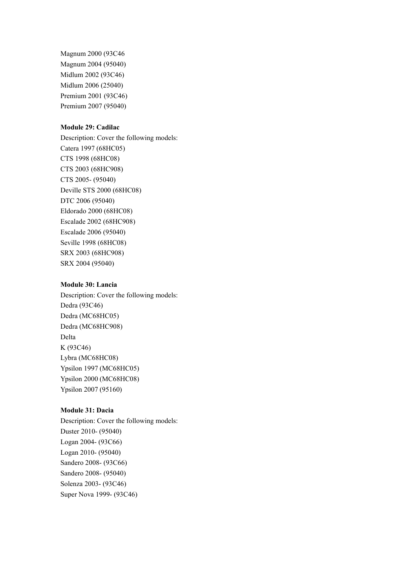Magnum 2000 (93C46 Magnum 2004 (95040) Midlum 2002 (93C46) Midlum 2006 (25040) Premium 2001 (93C46) Premium 2007 (95040)

# **Module 29: Cadilac**

Description: Cover the following models: Catera 1997 (68HC05) CTS 1998 (68HC08) CTS 2003 (68HC908) CTS 2005- (95040) Deville STS 2000 (68HC08) DTC 2006 (95040) Eldorado 2000 (68HC08) Escalade 2002 (68HC908) Escalade 2006 (95040) Seville 1998 (68HC08) SRX 2003 (68HC908) SRX 2004 (95040)

## **Module 30: Lancia**

Description: Cover the following models: Dedra (93C46) Dedra (MC68HC05) Dedra (MC68HC908) Delta K (93C46) Lybra (MC68HC08) Ypsilon 1997 (MC68HC05) Ypsilon 2000 (MC68HC08) Ypsilon 2007 (95160)

# **Module 31: Dacia**

Description: Cover the following models: Duster 2010- (95040) Logan 2004- (93C66) Logan 2010- (95040) Sandero 2008- (93C66) Sandero 2008- (95040) Solenza 2003- (93C46) Super Nova 1999- (93C46)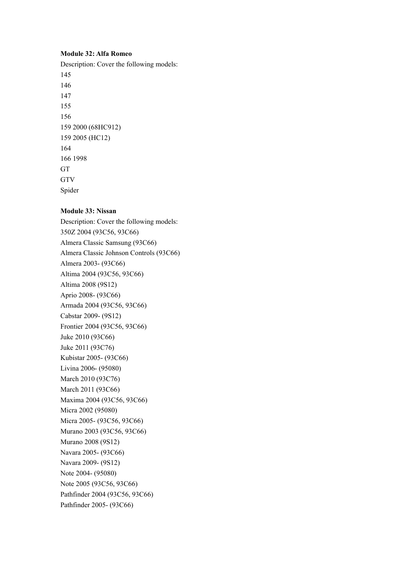## **Module 32: Alfa Romeo**

Description: Cover the following models: 145 146 147 155 156 159 2000 (68HC912) 159 2005 (HC12) 164 166 1998 GT **GTV** Spider

### **Module 33: Nissan**

Description: Cover the following models: 350Z 2004 (93C56, 93C66) Almera Classic Samsung (93C66) Almera Classic Johnson Controls (93C66) Almera 2003- (93C66) Altima 2004 (93C56, 93C66) Altima 2008 (9S12) Aprio 2008- (93C66) Armada 2004 (93C56, 93C66) Cabstar 2009- (9S12) Frontier 2004 (93C56, 93C66) Juke 2010 (93C66) Juke 2011 (93C76) Kubistar 2005- (93C66) Livina 2006- (95080) March 2010 (93C76) March 2011 (93C66) Maxima 2004 (93C56, 93C66) Micra 2002 (95080) Micra 2005- (93C56, 93C66) Murano 2003 (93C56, 93C66) Murano 2008 (9S12) Navara 2005- (93C66) Navara 2009- (9S12) Note 2004- (95080) Note 2005 (93C56, 93C66) Pathfinder 2004 (93C56, 93C66) Pathfinder 2005- (93C66)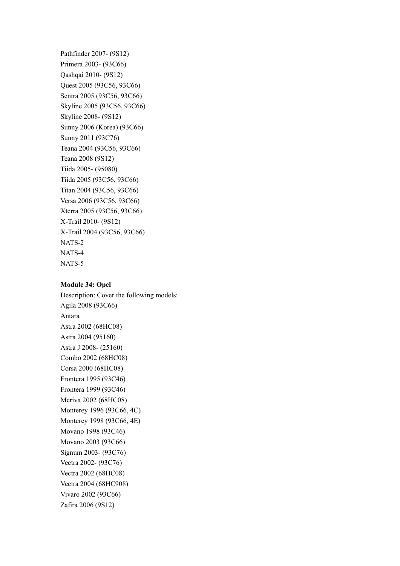Pathfinder 2007- (9S12) Primera 2003- (93C66) Qashqai 2010- (9S12) Quest 2005 (93C56, 93C66) Sentra 2005 (93C56, 93C66) Skyline 2005 (93C56, 93C66) Skyline 2008- (9S12) Sunny 2006 (Korea) (93C66) Sunny 2011 (93C76) Teana 2004 (93C56, 93C66) Teana 2008 (9S12) Tiida 2005- (95080) Tiida 2005 (93C56, 93C66) Titan 2004 (93C56, 93C66) Versa 2006 (93C56, 93C66) Xterra 2005 (93C56, 93C66) X-Trail 2010- (9S12) X-Trail 2004 (93C56, 93C66) NATS-2 NATS-4 NATS-5

#### **Module 34: Opel**

Description: Cover the following models: Agila 2008 (93C66) Antara Astra 2002 (68HC08) Astra 2004 (95160) Astra J 2008- (25160) Combo 2002 (68HC08) Corsa 2000 (68HC08) Frontera 1995 (93C46) Frontera 1999 (93C46) Meriva 2002 (68HC08) Monterey 1996 (93C66, 4C) Monterey 1998 (93C66, 4E) Movano 1998 (93C46) Movano 2003 (93C66) Signum 2003- (93C76) Vectra 2002- (93C76) Vectra 2002 (68HC08) Vectra 2004 (68HC908) Vivaro 2002 (93C66) Zafira 2006 (9S12)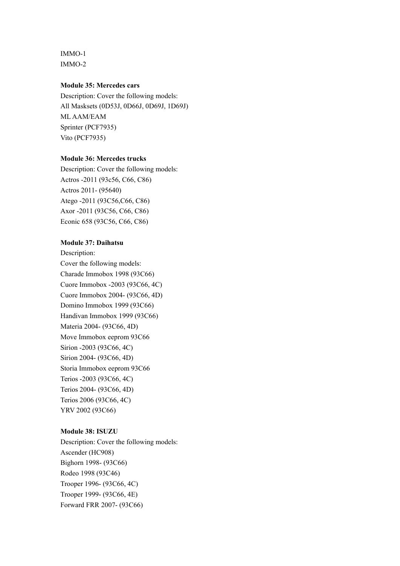IMMO-1 IMMO-2

# **Module 35: Mercedes cars**

Description: Cover the following models: All Masksets (0D53J, 0D66J, 0D69J, 1D69J) ML AAM/EAM Sprinter (PCF7935) Vito (PCF7935)

# **Module 36: Mercedes trucks**

Description: Cover the following models: Actros -2011 (93c56, C66, C86) Actros 2011- (95640) Atego -2011 (93C56,C66, C86) Axor -2011 (93C56, C66, C86) Econic 658 (93C56, C66, C86)

#### **Module 37: Daihatsu**

Description: Cover the following models: Charade Immobox 1998 (93C66) Cuore Immobox -2003 (93C66, 4C) Cuore Immobox 2004- (93C66, 4D) Domino Immobox 1999 (93C66) Handivan Immobox 1999 (93C66) Materia 2004- (93C66, 4D) Move Immobox eeprom 93C66 Sirion -2003 (93C66, 4C) Sirion 2004- (93C66, 4D) Storia Immobox eeprom 93C66 Terios -2003 (93C66, 4C) Terios 2004- (93C66, 4D) Terios 2006 (93C66, 4C) YRV 2002 (93C66)

# **Module 38: ISUZU**

Description: Cover the following models: Ascender (HC908) Bighorn 1998- (93C66) Rodeo 1998 (93C46) Trooper 1996- (93C66, 4C) Trooper 1999- (93C66, 4E) Forward FRR 2007- (93C66)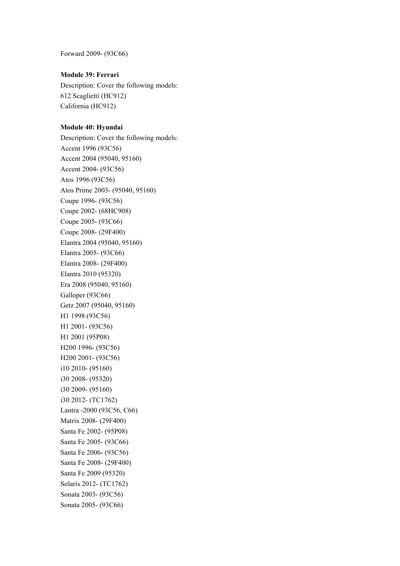Forward 2009- (93C66)

# **Module 39: Ferrari**

Description: Cover the following models: 612 Scaglietti (HC912) California (HC912)

### **Module 40: Hyundai**

Description: Cover the following models: Accent 1996 (93C56) Accent 2004 (95040, 95160) Accent 2004- (93C56) Atos 1996 (93C56) Atos Prime 2003- (95040, 95160) Coupe 1996- (93C56) Coupe 2002- (68HC908) Coupe 2005- (93C66) Coupe 2008- (29F400) Elantra 2004 (95040, 95160) Elantra 2005- (93C66) Elantra 2008- (29F400) Elantra 2010 (95320) Era 2008 (95040, 95160) Galloper (93C66) Getz 2007 (95040, 95160) H1 1998 (93C56) H1 2001- (93C56) H1 2001 (95P08) H200 1996- (93C56) H200 2001- (93C56) i10 2010- (95160) i30 2008- (95320) i30 2009- (95160) i30 2012- (TC1762) Lantra -2000 (93C56, C66) Matrix 2008- (29F400) Santa Fe 2002- (95P08) Santa Fe 2005- (93C66) Santa Fe 2006- (93C56) Santa Fe 2008- (29F400) Santa Fe 2009 (95320) Solaris 2012- (TC1762) Sonata 2003- (93C56) Sonata 2005- (93C66)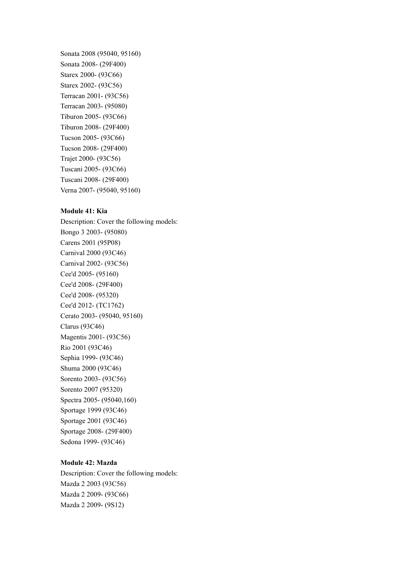Sonata 2008 (95040, 95160) Sonata 2008- (29F400) Starex 2000- (93C66) Starex 2002- (93C56) Terracan 2001- (93C56) Terracan 2003- (95080) Tiburon 2005- (93C66) Tiburon 2008- (29F400) Tucson 2005- (93C66) Tucson 2008- (29F400) Trajet 2000- (93C56) Tuscani 2005- (93C66) Tuscani 2008- (29F400) Verna 2007- (95040, 95160)

# **Module 41: Kia**

Description: Cover the following models: Bongo 3 2003- (95080) Carens 2001 (95P08) Carnival 2000 (93C46) Carnival 2002- (93C56) Cee'd 2005- (95160) Cee'd 2008- (29F400) Cee'd 2008- (95320) Cee'd 2012- (TC1762) Cerato 2003- (95040, 95160) Clarus (93C46) Magentis 2001- (93C56) Rio 2001 (93C46) Sephia 1999- (93C46) Shuma 2000 (93C46) Sorento 2003- (93C56) Sorento 2007 (95320) Spectra 2005- (95040,160) Sportage 1999 (93C46) Sportage 2001 (93C46) Sportage 2008- (29F400) Sedona 1999- (93C46)

# **Module 42: Mazda**

Description: Cover the following models: Mazda 2 2003 (93C56) Mazda 2 2009- (93C66) Mazda 2 2009- (9S12)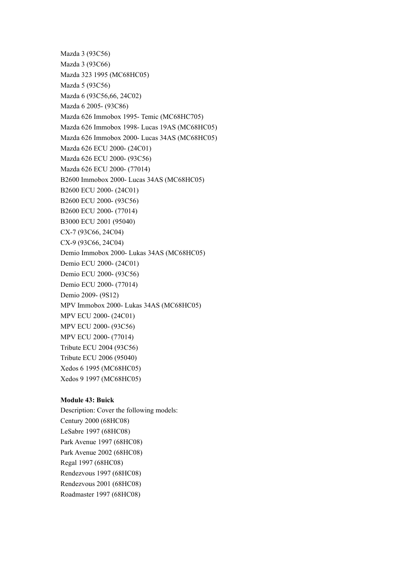Mazda 3 (93C56) Mazda 3 (93C66) Mazda 323 1995 (MC68HC05) Mazda 5 (93C56) Mazda 6 (93C56,66, 24C02) Mazda 6 2005- (93C86) Mazda 626 Immobox 1995- Temic (MC68HC705) Mazda 626 Immobox 1998- Lucas 19AS (MC68HC05) Mazda 626 Immobox 2000- Lucas 34AS (MC68HC05) Mazda 626 ECU 2000- (24C01) Mazda 626 ECU 2000- (93C56) Mazda 626 ECU 2000- (77014) B2600 Immobox 2000- Lucas 34AS (MC68HC05) B2600 ECU 2000- (24C01) B2600 ECU 2000- (93C56) B2600 ECU 2000- (77014) B3000 ECU 2001 (95040) CX-7 (93C66, 24C04) CX-9 (93C66, 24C04) Demio Immobox 2000- Lukas 34AS (MC68HC05) Demio ECU 2000- (24C01) Demio ECU 2000- (93C56) Demio ECU 2000- (77014) Demio 2009- (9S12) MPV Immobox 2000- Lukas 34AS (MC68HC05) MPV ECU 2000- (24C01) MPV ECU 2000- (93C56) MPV ECU 2000- (77014) Tribute ECU 2004 (93C56) Tribute ECU 2006 (95040) Xedos 6 1995 (MC68HC05) Xedos 9 1997 (MC68HC05)

## **Module 43: Buick**

Description: Cover the following models: Century 2000 (68HC08) LeSabre 1997 (68HC08) Park Avenue 1997 (68HC08) Park Avenue 2002 (68HC08) Regal 1997 (68HC08) Rendezvous 1997 (68HC08) Rendezvous 2001 (68HC08) Roadmaster 1997 (68HC08)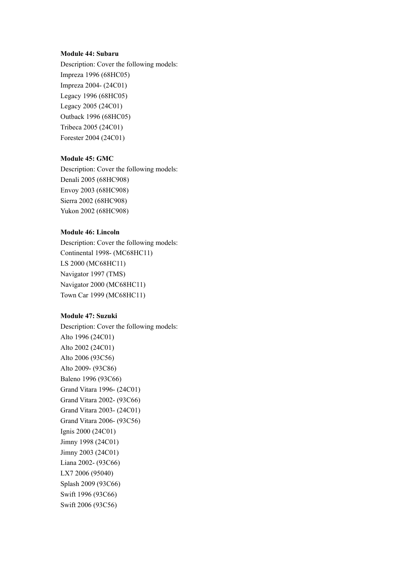# **Module 44: Subaru**

Description: Cover the following models: Impreza 1996 (68HC05) Impreza 2004- (24C01) Legacy 1996 (68HC05) Legacy 2005 (24C01) Outback 1996 (68HC05) Tribeca 2005 (24C01) Forester 2004 (24C01)

# **Module 45: GMC**

Description: Cover the following models: Denali 2005 (68HC908) Envoy 2003 (68HC908) Sierra 2002 (68HC908) Yukon 2002 (68HC908)

## **Module 46: Lincoln**

Description: Cover the following models: Continental 1998- (MC68HC11) LS 2000 (MC68HC11) Navigator 1997 (TMS) Navigator 2000 (MC68HC11) Town Car 1999 (MC68HC11)

#### **Module 47: Suzuki**

Description: Cover the following models: Alto 1996 (24C01) Alto 2002 (24C01) Alto 2006 (93C56) Alto 2009- (93C86) Baleno 1996 (93C66) Grand Vitara 1996- (24C01) Grand Vitara 2002- (93C66) Grand Vitara 2003- (24C01) Grand Vitara 2006- (93C56) Ignis 2000 (24C01) Jimny 1998 (24C01) Jimny 2003 (24C01) Liana 2002- (93C66) LX7 2006 (95040) Splash 2009 (93C66) Swift 1996 (93C66) Swift 2006 (93C56)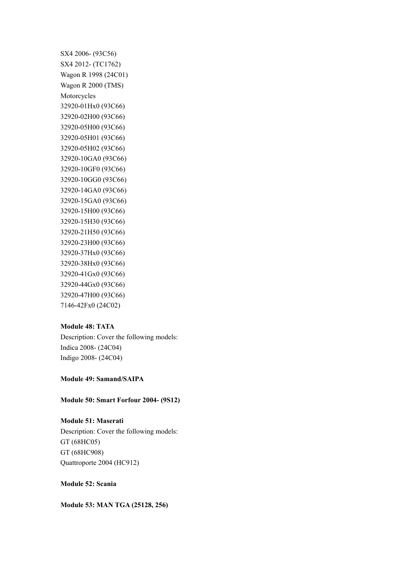SX4 2006- (93C56) SX4 2012- (TC1762) Wagon R 1998 (24C01) Wagon R 2000 (TMS) Motorcycles 32920-01Hx0 (93C66) 32920-02H00 (93C66) 32920-05H00 (93C66) 32920-05H01 (93C66) 32920-05H02 (93C66) 32920-10GA0 (93C66) 32920-10GF0 (93C66) 32920-10GG0 (93C66) 32920-14GA0 (93C66) 32920-15GA0 (93C66) 32920-15H00 (93C66) 32920-15H30 (93C66) 32920-21H50 (93C66) 32920-23H00 (93C66) 32920-37Hx0 (93C66) 32920-38Hx0 (93C66) 32920-41Gx0 (93C66) 32920-44Gx0 (93C66) 32920-47H00 (93C66) 7146-42Fx0 (24C02)

#### **Module 48: TATA**

Description: Cover the following models: Indica 2008- (24C04) Indigo 2008- (24C04)

## **Module 49: Samand/SAIPA**

**Module 50: Smart Forfour 2004- (9S12)**

#### **Module 51: Maserati**

Description: Cover the following models: GT (68HC05) GT (68HC908) Quattroporte 2004 (HC912)

# **Module 52: Scania**

**Module 53: MAN TGA (25128, 256)**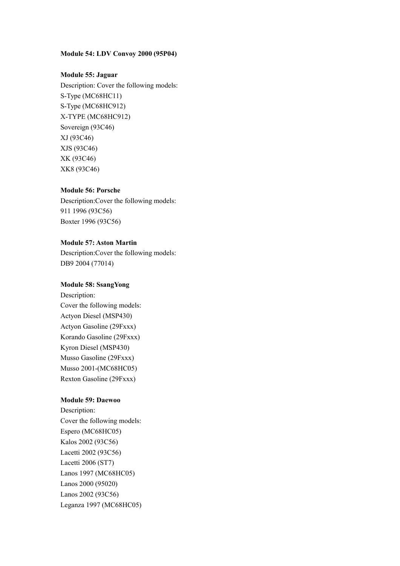# **Module 54: LDV Convoy 2000 (95P04)**

# **Module 55: Jaguar**

Description: Cover the following models: S-Type (MC68HC11) S-Type (MC68HC912) X-TYPE (MC68HC912) Sovereign (93C46) XJ (93C46) XJS (93C46) XK (93C46) XK8 (93C46)

# **Module 56: Porsche**

Description:Cover the following models: 911 1996 (93C56) Boxter 1996 (93C56)

# **Module 57: Aston Martin**

Description:Cover the following models: DB9 2004 (77014)

## **Module 58: SsangYong**

Description: Cover the following models: Actyon Diesel (MSP430) Actyon Gasoline (29Fxxx) Korando Gasoline (29Fxxx) Kyron Diesel (MSP430) Musso Gasoline (29Fxxx) Musso 2001-(MC68HC05) Rexton Gasoline (29Fxxx)

#### **Module 59: Daewoo**

Description: Cover the following models: Espero (MC68HC05) Kalos 2002 (93C56) Lacetti 2002 (93C56) Lacetti 2006 (ST7) Lanos 1997 (MC68HC05) Lanos 2000 (95020) Lanos 2002 (93C56) Leganza 1997 (MC68HC05)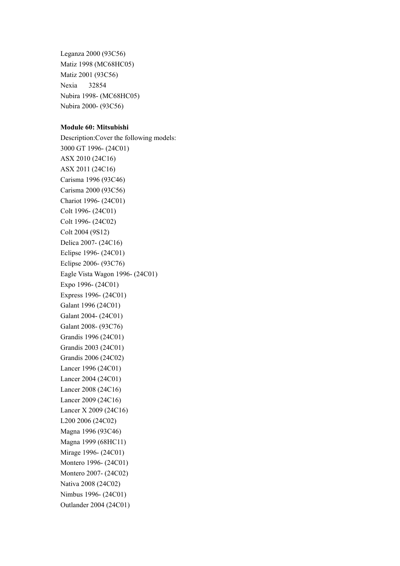Leganza 2000 (93C56) Matiz 1998 (MC68HC05) Matiz 2001 (93C56) Nexia 32854 Nubira 1998- (MC68HC05) Nubira 2000- (93C56)

# **Module 60: Mitsubishi**

Description:Cover the following models: 3000 GT 1996- (24C01) ASX 2010 (24C16) ASX 2011 (24C16) Carisma 1996 (93C46) Carisma 2000 (93C56) Chariot 1996- (24C01) Colt 1996- (24C01) Colt 1996- (24C02) Colt 2004 (9S12) Delica 2007- (24C16) Eclipse 1996- (24C01) Eclipse 2006- (93C76) Eagle Vista Wagon 1996- (24C01) Expo 1996- (24C01) Express 1996- (24C01) Galant 1996 (24C01) Galant 2004- (24C01) Galant 2008- (93C76) Grandis 1996 (24C01) Grandis 2003 (24C01) Grandis 2006 (24C02) Lancer 1996 (24C01) Lancer 2004 (24C01) Lancer 2008 (24C16) Lancer 2009 (24C16) Lancer X 2009 (24C16) L200 2006 (24C02) Magna 1996 (93C46) Magna 1999 (68HC11) Mirage 1996- (24C01) Montero 1996- (24C01) Montero 2007- (24C02) Nativa 2008 (24C02) Nimbus 1996- (24C01) Outlander 2004 (24C01)